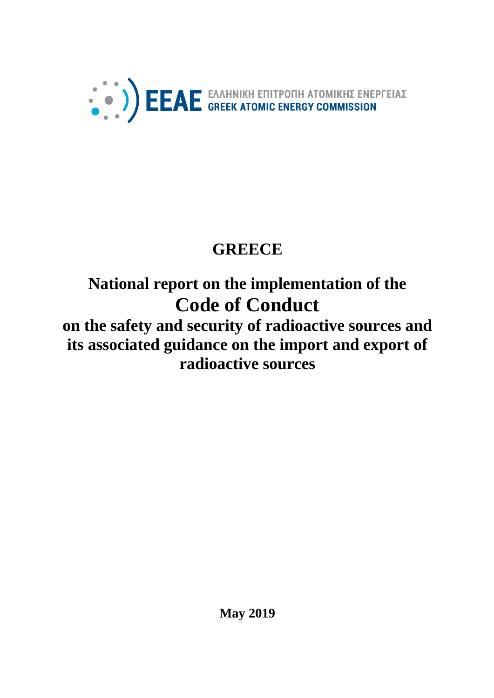

# **GREECE**

# **National report on the implementation of the Code of Conduct**

# **on the safety and security of radioactive sources and its associated guidance on the import and export of radioactive sources**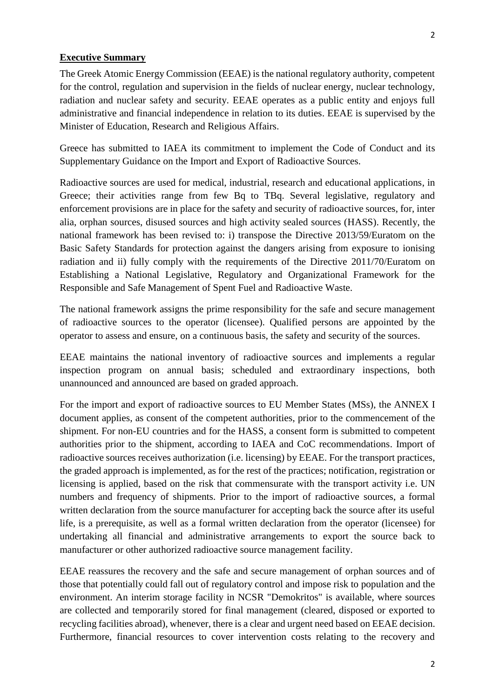#### **Executive Summary**

The Greek Atomic Energy Commission (EEAE) is the national regulatory authority, competent for the control, regulation and supervision in the fields of nuclear energy, nuclear technology, radiation and nuclear safety and security. EEAE operates as a public entity and enjoys full administrative and financial independence in relation to its duties. EEAE is supervised by the Minister of Education, Research and Religious Affairs.

Greece has submitted to IAEA its commitment to implement the Code of Conduct and its Supplementary Guidance on the Import and Export of Radioactive Sources.

Radioactive sources are used for medical, industrial, research and educational applications, in Greece; their activities range from few Bq to TBq. Several legislative, regulatory and enforcement provisions are in place for the safety and security of radioactive sources, for, inter alia, orphan sources, disused sources and high activity sealed sources (HASS). Recently, the national framework has been revised to: i) transpose the Directive 2013/59/Euratom on the Basic Safety Standards for protection against the dangers arising from exposure to ionising radiation and ii) fully comply with the requirements of the Directive 2011/70/Euratom on Establishing a National Legislative, Regulatory and Organizational Framework for the Responsible and Safe Management of Spent Fuel and Radioactive Waste.

The national framework assigns the prime responsibility for the safe and secure management of radioactive sources to the operator (licensee). Qualified persons are appointed by the operator to assess and ensure, on a continuous basis, the safety and security of the sources.

EEAE maintains the national inventory of radioactive sources and implements a regular inspection program on annual basis; scheduled and extraordinary inspections, both unannounced and announced are based on graded approach.

For the import and export of radioactive sources to EU Member States (MSs), the ANNEX I document applies, as consent of the competent authorities, prior to the commencement of the shipment. For non-EU countries and for the HASS, a consent form is submitted to competent authorities prior to the shipment, according to IAEA and CoC recommendations. Import of radioactive sources receives authorization (i.e. licensing) by EEAE. For the transport practices, the graded approach is implemented, as for the rest of the practices; notification, registration or licensing is applied, based on the risk that commensurate with the transport activity i.e. UN numbers and frequency of shipments. Prior to the import of radioactive sources, a formal written declaration from the source manufacturer for accepting back the source after its useful life, is a prerequisite, as well as a formal written declaration from the operator (licensee) for undertaking all financial and administrative arrangements to export the source back to manufacturer or other authorized radioactive source management facility.

EEAE reassures the recovery and the safe and secure management of orphan sources and of those that potentially could fall out of regulatory control and impose risk to population and the environment. An interim storage facility in NCSR "Demokritos" is available, where sources are collected and temporarily stored for final management (cleared, disposed or exported to recycling facilities abroad), whenever, there is a clear and urgent need based on EEAE decision. Furthermore, financial resources to cover intervention costs relating to the recovery and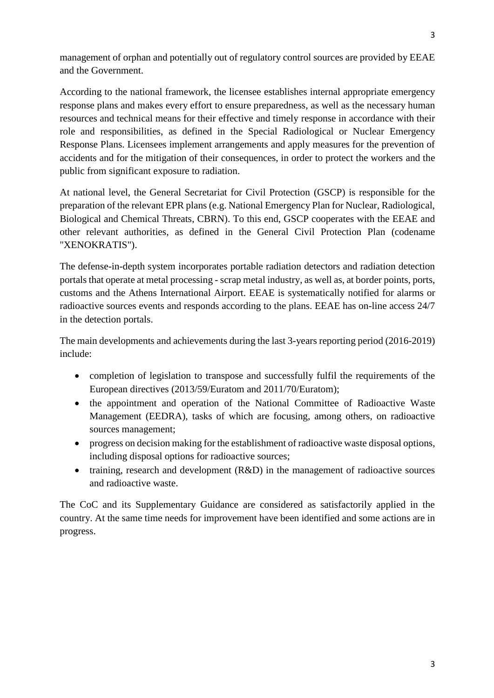management of orphan and potentially out of regulatory control sources are provided by EEAE and the Government.

According to the national framework, the licensee establishes internal appropriate emergency response plans and makes every effort to ensure preparedness, as well as the necessary human resources and technical means for their effective and timely response in accordance with their role and responsibilities, as defined in the Special Radiological or Nuclear Emergency Response Plans. Licensees implement arrangements and apply measures for the prevention of accidents and for the mitigation of their consequences, in order to protect the workers and the public from significant exposure to radiation.

At national level, the General Secretariat for Civil Protection (GSCP) is responsible for the preparation of the relevant EPR plans (e.g. National Emergency Plan for Nuclear, Radiological, Biological and Chemical Threats, CBRN). To this end, GSCP cooperates with the EEAE and other relevant authorities, as defined in the General Civil Protection Plan (codename "XENOKRATIS").

The defense-in-depth system incorporates portable radiation detectors and radiation detection portals that operate at metal processing - scrap metal industry, as well as, at border points, ports, customs and the Athens International Airport. EEAE is systematically notified for alarms or radioactive sources events and responds according to the plans. EEAE has on-line access 24/7 in the detection portals.

The main developments and achievements during the last 3-years reporting period (2016-2019) include:

- completion of legislation to transpose and successfully fulfil the requirements of the European directives (2013/59/Euratom and 2011/70/Euratom);
- the appointment and operation of the National Committee of Radioactive Waste Management (EEDRA), tasks of which are focusing, among others, on radioactive sources management;
- progress on decision making for the establishment of radioactive waste disposal options, including disposal options for radioactive sources;
- training, research and development (R&D) in the management of radioactive sources and radioactive waste.

The CoC and its Supplementary Guidance are considered as satisfactorily applied in the country. At the same time needs for improvement have been identified and some actions are in progress.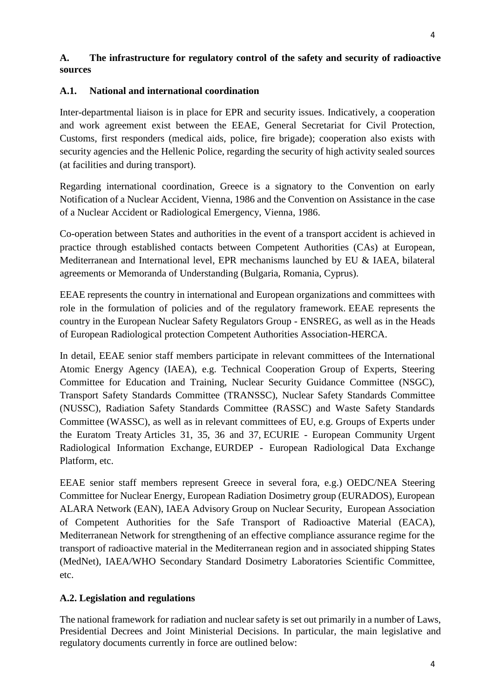# **A. The infrastructure for regulatory control of the safety and security of radioactive sources**

## **A.1. National and international coordination**

Inter-departmental liaison is in place for EPR and security issues. Indicatively, a cooperation and work agreement exist between the EEAE, General Secretariat for Civil Protection, Customs, first responders (medical aids, police, fire brigade); cooperation also exists with security agencies and the Hellenic Police, regarding the security of high activity sealed sources (at facilities and during transport).

Regarding international coordination, Greece is a signatory to the Convention on early Notification of a Nuclear Accident, Vienna, 1986 and the Convention on Assistance in the case of a Nuclear Accident or Radiological Emergency, Vienna, 1986.

Co-operation between States and authorities in the event of a transport accident is achieved in practice through established contacts between Competent Authorities (CAs) at European, Mediterranean and International level, EPR mechanisms launched by EU & IAEA, bilateral agreements or Memoranda of Understanding (Bulgaria, Romania, Cyprus).

EEAE represents the country in international and European organizations and committees with role in the formulation of policies and of the regulatory framework. EEAE represents the country in the European Nuclear Safety Regulators Group - ENSREG, as well as in the Heads of European Radiological protection Competent Authorities Association-HERCA.

In detail, EEAE senior staff members participate in relevant committees of the International Atomic Energy Agency (IAEA), e.g. Technical Cooperation Group of Experts, Steering Committee for Education and Training, Nuclear Security Guidance Committee (NSGC), Transport Safety Standards Committee (TRANSSC), Nuclear Safety Standards Committee (NUSSC), Radiation Safety Standards Committee (RASSC) and Waste Safety Standards Committee (WASSC), as well as in relevant committees of EU, e.g. Groups of Experts under the Euratom Treaty Articles 31, 35, 36 and 37, ECURIE - European Community Urgent Radiological Information Exchange, EURDEP - European Radiological Data Exchange Platform, etc.

EEAE senior staff members represent Greece in several fora, e.g.) OEDC/NEA Steering Committee for Nuclear Energy, European Radiation Dosimetry group (EURADOS), European ALARA Network (EAN), IAEA Advisory Group on Nuclear Security, European Association of Competent Authorities for the Safe Transport of Radioactive Material (EACA), Mediterranean Network for strengthening of an effective compliance assurance regime for the transport of radioactive material in the Mediterranean region and in associated shipping States (MedNet), IAEA/WHO Secondary Standard Dosimetry Laboratories Scientific Committee, etc.

## **A.2. Legislation and regulations**

The national framework for radiation and nuclear safety is set out primarily in a number of Laws, Presidential Decrees and Joint Ministerial Decisions. In particular, the main legislative and regulatory documents currently in force are outlined below: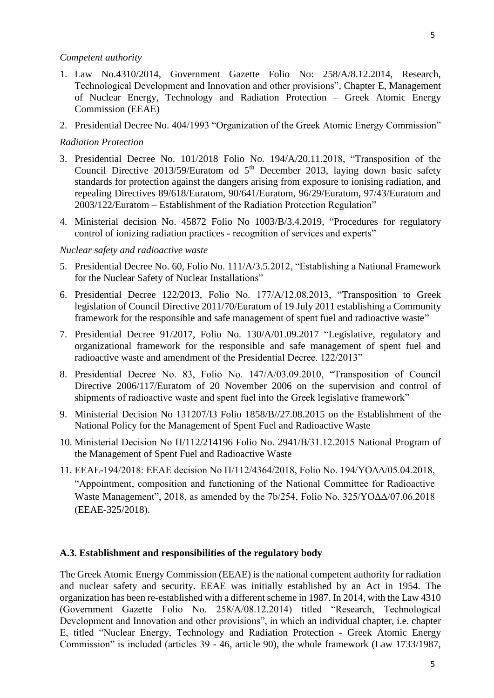#### *Competent authority*

- 1. Law No.4310/2014, Government Gazette Folio No: 258/A/8.12.2014, Research, Technological Development and Innovation and other provisions", Chapter E, Management of Nuclear Energy, Technology and Radiation Protection – Greek Atomic Energy Commission (EEAE)
- 2. Presidential Decree No. 404/1993 "Organization of the Greek Atomic Energy Commission"

#### *Radiation Protection*

- 3. Presidential Decree No. 101/2018 Folio No. 194/A/20.11.2018, "Transposition of the Council Directive 2013/59/Euratom od  $5<sup>th</sup>$  December 2013, laying down basic safety standards for protection against the dangers arising from exposure to ionising radiation, and repealing Directives 89/618/Euratom, 90/641/Euratom, 96/29/Euratom, 97/43/Euratom and 2003/122/Euratom – Establishment of the Radiation Protection Regulation"
- 4. Ministerial decision No. 45872 Folio No 1003/B/3.4.2019, "Procedures for regulatory control of ionizing radiation practices - recognition of services and experts"

#### *Nuclear safety and radioactive waste*

- 5. Presidential Decree No. 60, Folio No. 111/A/3.5.2012, "Establishing a National Framework for the Nuclear Safety of Nuclear Installations"
- 6. Presidential Decree 122/2013, Folio No. 177/Α/12.08.2013, "Transposition to Greek legislation of Council Directive 2011/70/Euratom of 19 July 2011 establishing a Community framework for the responsible and safe management of spent fuel and radioactive waste"
- 7. Presidential Decree 91/2017, Folio No. 130/A/01.09.2017 "Legislative, regulatory and organizational framework for the responsible and safe management of spent fuel and radioactive waste and amendment of the Presidential Decree. 122/2013"
- 8. Presidential Decree No. 83, Folio No. 147/A/03.09.2010, "Transposition of Council Directive 2006/117/Euratom of 20 November 2006 on the supervision and control of shipments of radioactive waste and spent fuel into the Greek legislative framework"
- 9. Ministerial Decision No 131207/Ι3 Folio 1858/B//27.08.2015 on the Establishment of the National Policy for the Management of Spent Fuel and Radioactive Waste
- 10. Ministerial Decision No Π/112/214196 Folio No. 2941/Β/31.12.2015 National Program of the Management of Spent Fuel and Radioactive Waste
- 11. EEAE-194/2018: EEAE decision No Π/112/4364/2018, Folio No. 194/YOΔΔ/05.04.2018, "Appointment, composition and functioning of the National Committee for Radioactive Waste Management", 2018, as amended by the 7b/254, Folio No. 325/YOΔΔ/07.06.2018 (EEAE-325/2018).

#### **A.3. Establishment and responsibilities of the regulatory body**

The Greek Atomic Energy Commission (EEAE) is the national competent authority for radiation and nuclear safety and security. EEAE was initially established by an Act in 1954. The organization has been re-established with a different scheme in 1987. In 2014, with the Law 4310 (Government Gazette Folio No. 258/Α/08.12.2014) titled "Research, Technological Development and Innovation and other provisions", in which an individual chapter, i.e. chapter E, titled "Nuclear Energy, Technology and Radiation Protection - Greek Atomic Energy Commission" is included (articles 39 - 46, article 90), the whole framework (Law 1733/1987,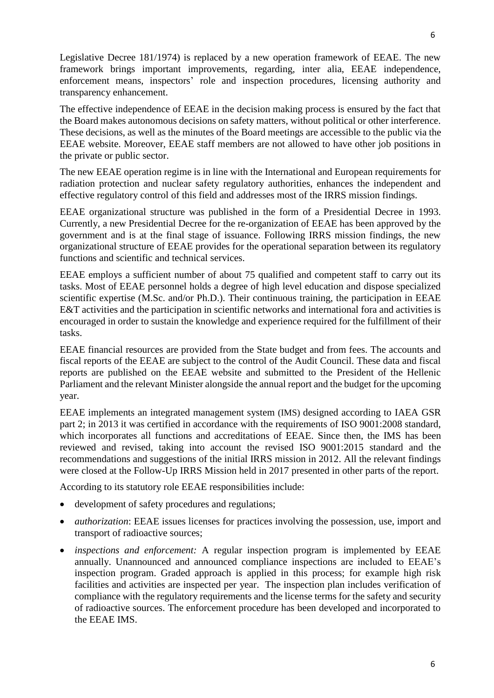Legislative Decree 181/1974) is replaced by a new operation framework of EEAE. The new framework brings important improvements, regarding, inter alia, EEAE independence, enforcement means, inspectors' role and inspection procedures, licensing authority and transparency enhancement.

The effective independence of EEAE in the decision making process is ensured by the fact that the Board makes autonomous decisions on safety matters, without political or other interference. These decisions, as well as the minutes of the Board meetings are accessible to the public via the EEAE website. Moreover, EEAE staff members are not allowed to have other job positions in the private or public sector.

The new EEAE operation regime is in line with the International and European requirements for radiation protection and nuclear safety regulatory authorities, enhances the independent and effective regulatory control of this field and addresses most of the IRRS mission findings.

EEAE organizational structure was published in the form of a Presidential Decree in 1993. Currently, a new Presidential Decree for the re-organization of EEAE has been approved by the government and is at the final stage of issuance. Following IRRS mission findings, the new organizational structure of EEAE provides for the operational separation between its regulatory functions and scientific and technical services.

EEAE employs a sufficient number of about 75 qualified and competent staff to carry out its tasks. Most of EEAE personnel holds a degree of high level education and dispose specialized scientific expertise (M.Sc. and/or Ph.D.). Their continuous training, the participation in EEAE E&T activities and the participation in scientific networks and international fora and activities is encouraged in order to sustain the knowledge and experience required for the fulfillment of their tasks.

EEAE financial resources are provided from the State budget and from fees. The accounts and fiscal reports of the EEAE are subject to the control of the Audit Council. These data and fiscal reports are published on the EEAE website and submitted to the President of the Hellenic Parliament and the relevant Minister alongside the annual report and the budget for the upcoming year.

EEAE implements an integrated management system (IMS) designed according to IAEA GSR part 2; in 2013 it was certified in accordance with the requirements of ISO 9001:2008 standard, which incorporates all functions and accreditations of EEAE. Since then, the IMS has been reviewed and revised, taking into account the revised ISO 9001:2015 standard and the recommendations and suggestions of the initial IRRS mission in 2012. All the relevant findings were closed at the Follow-Up IRRS Mission held in 2017 presented in other parts of the report.

According to its statutory role EEAE responsibilities include:

- development of safety procedures and regulations;
- *authorization*: EEAE issues licenses for practices involving the possession, use, import and transport of radioactive sources;
- *inspections and enforcement:* A regular inspection program is implemented by EEAE annually. Unannounced and announced compliance inspections are included to EEAE's inspection program. Graded approach is applied in this process; for example high risk facilities and activities are inspected per year. The inspection plan includes verification of compliance with the regulatory requirements and the license terms for the safety and security of radioactive sources. The enforcement procedure has been developed and incorporated to the EEAE IMS.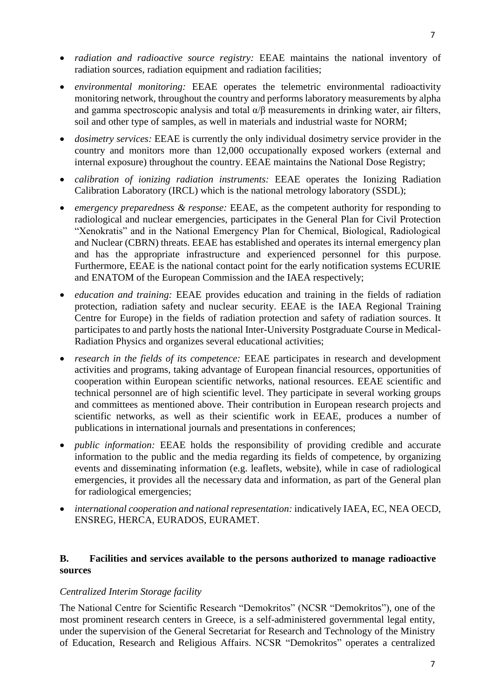- *radiation and radioactive source registry:* EEAE maintains the national inventory of radiation sources, radiation equipment and radiation facilities;
- *environmental monitoring:* EEAE operates the telemetric environmental radioactivity monitoring network, throughout the country and performs laboratory measurements by alpha and gamma spectroscopic analysis and total  $\alpha/\beta$  measurements in drinking water, air filters, soil and other type of samples, as well in materials and industrial waste for NORM;
- *dosimetry services:* EEAE is currently the only individual dosimetry service provider in the country and monitors more than 12,000 occupationally exposed workers (external and internal exposure) throughout the country. EEAE maintains the National Dose Registry;
- *calibration of ionizing radiation instruments:* EEAE operates the Ionizing Radiation Calibration Laboratory (IRCL) which is the national metrology laboratory (SSDL);
- *emergency preparedness & response:* EEAE, as the competent authority for responding to radiological and nuclear emergencies, participates in the General Plan for Civil Protection "Xenokratis" and in the National Emergency Plan for Chemical, Biological, Radiological and Nuclear (CBRN) threats. EEAE has established and operates its internal emergency plan and has the appropriate infrastructure and experienced personnel for this purpose. Furthermore, EEAE is the national contact point for the early notification systems ECURIE and ENATOM of the European Commission and the IAEA respectively;
- *education and training:* EEAE provides education and training in the fields of radiation protection, radiation safety and nuclear security. EEAE is the IAEA Regional Training Centre for Europe) in the fields of radiation protection and safety of radiation sources. It participates to and partly hosts the national Inter-University Postgraduate Course in Medical-Radiation Physics and organizes several educational activities;
- *research in the fields of its competence:* EEAE participates in research and development activities and programs, taking advantage of European financial resources, opportunities of cooperation within European scientific networks, national resources. EEAE scientific and technical personnel are of high scientific level. They participate in several working groups and committees as mentioned above. Their contribution in European research projects and scientific networks, as well as their scientific work in EEAE, produces a number of publications in international journals and presentations in conferences;
- *public information:* EEAE holds the responsibility of providing credible and accurate information to the public and the media regarding its fields of competence, by organizing events and disseminating information (e.g. leaflets, website), while in case of radiological emergencies, it provides all the necessary data and information, as part of the General plan for radiological emergencies;
- *international cooperation and national representation:* indicatively IAEA, EC, NEA OECD, ENSREG, HERCA, EURADOS, EURAMET.

#### **B. Facilities and services available to the persons authorized to manage radioactive sources**

#### *Centralized Interim Storage facility*

The [National Centre for Scientific Research "Demokritos"](http://www.demokritos.gr/) (NCSR "Demokritos"), one of the most prominent research centers in [Greece,](http://en.wikipedia.org/wiki/Greece) is a self-administered governmental legal entity, under the supervision of the General Secretariat for Research and Technology of the Ministry of Education, Research and Religious Affairs. NCSR "Demokritos" operates a centralized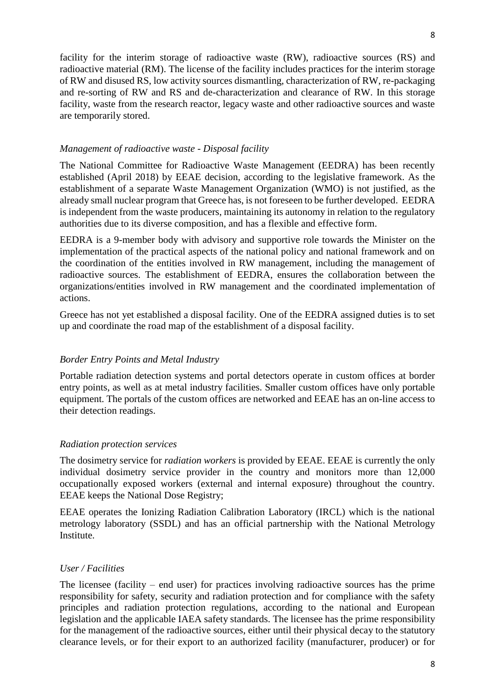facility for the interim storage of radioactive waste (RW), radioactive sources (RS) and radioactive material (RM). The license of the facility includes practices for the interim storage of RW and disused RS, low activity sources dismantling, characterization of RW, re-packaging and re-sorting of RW and RS and de-characterization and clearance of RW. In this storage facility, waste from the research reactor, legacy waste and other radioactive sources and waste are temporarily stored.

#### *Management of radioactive waste - Disposal facility*

The National Committee for Radioactive Waste Management (EEDRA) has been recently established (April 2018) by EEAE decision, according to the legislative framework. As the establishment of a separate Waste Management Organization (WMO) is not justified, as the already small nuclear program that Greece has, is not foreseen to be further developed. EEDRA is independent from the waste producers, maintaining its autonomy in relation to the regulatory authorities due to its diverse composition, and has a flexible and effective form.

EEDRA is a 9-member body with advisory and supportive role towards the Minister on the implementation of the practical aspects of the national policy and national framework and on the coordination of the entities involved in RW management, including the management of radioactive sources. The establishment of EEDRA, ensures the collaboration between the organizations/entities involved in RW management and the coordinated implementation of actions.

Greece has not yet established a disposal facility. One of the EEDRA assigned duties is to set up and coordinate the road map of the establishment of a disposal facility.

## *Border Entry Points and Metal Industry*

Portable radiation detection systems and portal detectors operate in custom offices at border entry points, as well as at metal industry facilities. Smaller custom offices have only portable equipment. The portals of the custom offices are networked and EEAE has an on-line access to their detection readings.

## *Radiation protection services*

The dosimetry service for *radiation workers* is provided by EEAE. EEAE is currently the only individual dosimetry service provider in the country and monitors more than 12,000 occupationally exposed workers (external and internal exposure) throughout the country. EEAE keeps the National Dose Registry;

EEAE operates the Ionizing Radiation Calibration Laboratory (IRCL) which is the national metrology laboratory (SSDL) and has an official partnership with the National Metrology Institute.

#### *User / Facilities*

The licensee (facility – end user) for practices involving radioactive sources has the prime responsibility for safety, security and radiation protection and for compliance with the safety principles and radiation protection regulations, according to the national and European legislation and the applicable IAEA safety standards. The licensee has the prime responsibility for the management of the radioactive sources, either until their physical decay to the statutory clearance levels, or for their export to an authorized facility (manufacturer, producer) or for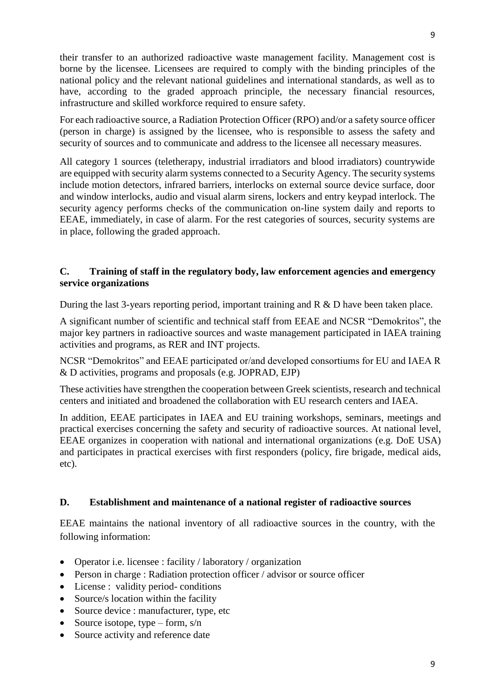their transfer to an authorized radioactive waste management facility. Management cost is borne by the licensee. Licensees are required to comply with the binding principles of the national policy and the relevant national guidelines and international standards, as well as to have, according to the graded approach principle, the necessary financial resources, infrastructure and skilled workforce required to ensure safety.

For each radioactive source, a Radiation Protection Officer (RPO) and/or a safety source officer (person in charge) is assigned by the licensee, who is responsible to assess the safety and security of sources and to communicate and address to the licensee all necessary measures.

All category 1 sources (teletherapy, industrial irradiators and blood irradiators) countrywide are equipped with security alarm systems connected to a Security Agency. The security systems include motion detectors, infrared barriers, interlocks on external source device surface, door and window interlocks, audio and visual alarm sirens, lockers and entry keypad interlock. The security agency performs checks of the communication on-line system daily and reports to EEAE, immediately, in case of alarm. For the rest categories of sources, security systems are in place, following the graded approach.

## **C. Training of staff in the regulatory body, law enforcement agencies and emergency service organizations**

During the last 3-years reporting period, important training and R & D have been taken place.

A significant number of scientific and technical staff from EEAE and NCSR "Demokritos", the major key partners in radioactive sources and waste management participated in IAEA training activities and programs, as RER and INT projects.

NCSR "Demokritos" and EEAE participated or/and developed consortiums for EU and IAEA R & D activities, programs and proposals (e.g. JOPRAD, EJP)

These activities have strengthen the cooperation between Greek scientists, research and technical centers and initiated and broadened the collaboration with EU research centers and IAEA.

In addition, EEAE participates in IAEA and EU training workshops, seminars, meetings and practical exercises concerning the safety and security of radioactive sources. At national level, EEAE organizes in cooperation with national and international organizations (e.g. DoE USA) and participates in practical exercises with first responders (policy, fire brigade, medical aids, etc).

## **D. Establishment and maintenance of a national register of radioactive sources**

EEAE maintains the national inventory of all radioactive sources in the country, with the following information:

- Operator i.e. licensee : facility / laboratory / organization
- Person in charge : Radiation protection officer / advisor or source officer
- License : validity period- conditions
- Source/s location within the facility
- Source device : manufacturer, type, etc
- Source isotope, type form,  $s/n$
- Source activity and reference date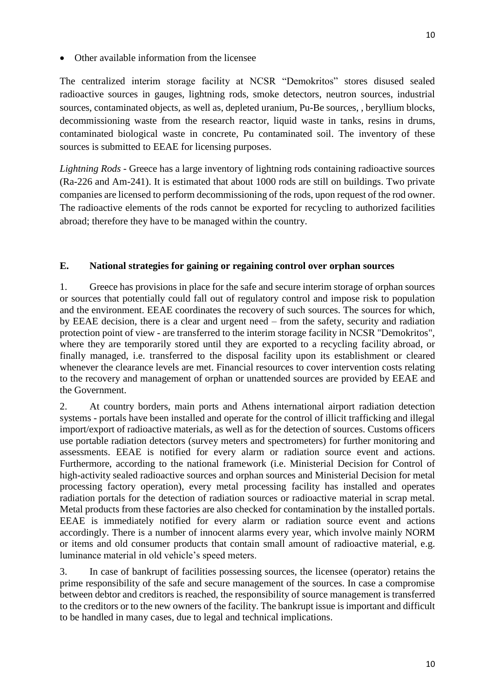The centralized interim storage facility at NCSR "Demokritos" stores disused sealed radioactive sources in gauges, lightning rods, smoke detectors, neutron sources, industrial sources, contaminated objects, as well as, depleted uranium, Pu-Be sources, , beryllium blocks, decommissioning waste from the research reactor, liquid waste in tanks, resins in drums, contaminated biological waste in concrete, Pu contaminated soil. The inventory of these sources is submitted to EEAE for licensing purposes.

*Lightning Rods* - Greece has a large inventory of lightning rods containing radioactive sources (Ra-226 and Am-241). It is estimated that about 1000 rods are still on buildings. Two private companies are licensed to perform decommissioning of the rods, upon request of the rod owner. The radioactive elements of the rods cannot be exported for recycling to authorized facilities abroad; therefore they have to be managed within the country.

## **E. National strategies for gaining or regaining control over orphan sources**

1. Greece has provisions in place for the safe and secure interim storage of orphan sources or sources that potentially could fall out of regulatory control and impose risk to population and the environment. EEAE coordinates the recovery of such sources. The sources for which, by EEAE decision, there is a clear and urgent need – from the safety, security and radiation protection point of view - are transferred to the interim storage facility in NCSR "Demokritos", where they are temporarily stored until they are exported to a recycling facility abroad, or finally managed, i.e. transferred to the disposal facility upon its establishment or cleared whenever the clearance levels are met. Financial resources to cover intervention costs relating to the recovery and management of orphan or unattended sources are provided by EEAE and the Government.

2. At country borders, main ports and Athens international airport radiation detection systems - portals have been installed and operate for the control of illicit trafficking and illegal import/export of radioactive materials, as well as for the detection of sources. Customs officers use portable radiation detectors (survey meters and spectrometers) for further monitoring and assessments. EEAE is notified for every alarm or radiation source event and actions. Furthermore, according to the national framework (i.e. Ministerial Decision for Control of high-activity sealed radioactive sources and orphan sources and Ministerial Decision for metal processing factory operation), every metal processing facility has installed and operates radiation portals for the detection of radiation sources or radioactive material in scrap metal. Metal products from these factories are also checked for contamination by the installed portals. EEAE is immediately notified for every alarm or radiation source event and actions accordingly. There is a number of innocent alarms every year, which involve mainly NORM or items and old consumer products that contain small amount of radioactive material, e.g. luminance material in old vehicle's speed meters.

3. In case of bankrupt of facilities possessing sources, the licensee (operator) retains the prime responsibility of the safe and secure management of the sources. In case a compromise between debtor and creditors is reached, the responsibility of source management is transferred to the creditors or to the new owners of the facility. The bankrupt issue is important and difficult to be handled in many cases, due to legal and technical implications.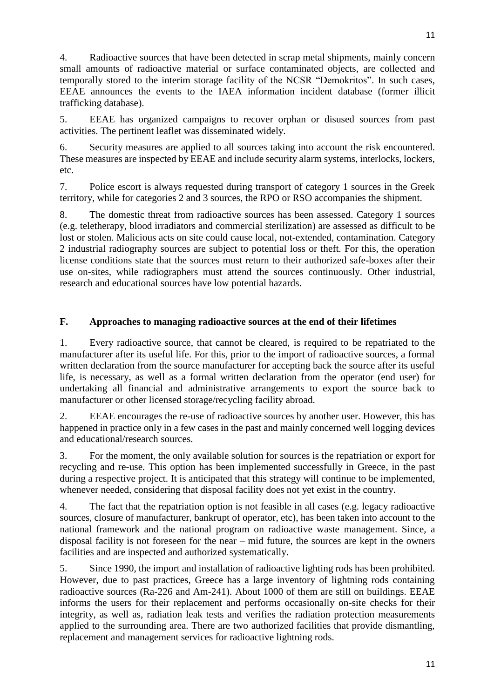4. Radioactive sources that have been detected in scrap metal shipments, mainly concern small amounts of radioactive material or surface contaminated objects, are collected and temporally stored to the interim storage facility of the NCSR "Demokritos". In such cases, EEAE announces the events to the IAEA information incident database (former illicit trafficking database).

5. EEAE has organized campaigns to recover orphan or disused sources from past activities. The pertinent leaflet was disseminated widely.

6. Security measures are applied to all sources taking into account the risk encountered. These measures are inspected by EEAE and include security alarm systems, interlocks, lockers, etc.

7. Police escort is always requested during transport of category 1 sources in the Greek territory, while for categories 2 and 3 sources, the RPO or RSO accompanies the shipment.

8. The domestic threat from radioactive sources has been assessed. Category 1 sources (e.g. teletherapy, blood irradiators and commercial sterilization) are assessed as difficult to be lost or stolen. Malicious acts on site could cause local, not-extended, contamination. Category 2 industrial radiography sources are subject to potential loss or theft. For this, the operation license conditions state that the sources must return to their authorized safe-boxes after their use on-sites, while radiographers must attend the sources continuously. Other industrial, research and educational sources have low potential hazards.

# **F. Approaches to managing radioactive sources at the end of their lifetimes**

1. Every radioactive source, that cannot be cleared, is required to be repatriated to the manufacturer after its useful life. For this, prior to the import of radioactive sources, a formal written declaration from the source manufacturer for accepting back the source after its useful life, is necessary, as well as a formal written declaration from the operator (end user) for undertaking all financial and administrative arrangements to export the source back to manufacturer or other licensed storage/recycling facility abroad.

2. EEAE encourages the re-use of radioactive sources by another user. However, this has happened in practice only in a few cases in the past and mainly concerned well logging devices and educational/research sources.

3. For the moment, the only available solution for sources is the repatriation or export for recycling and re-use. This option has been implemented successfully in Greece, in the past during a respective project. It is anticipated that this strategy will continue to be implemented, whenever needed, considering that disposal facility does not yet exist in the country.

4. The fact that the repatriation option is not feasible in all cases (e.g. legacy radioactive sources, closure of manufacturer, bankrupt of operator, etc), has been taken into account to the national framework and the national program on radioactive waste management. Since, a disposal facility is not foreseen for the near – mid future, the sources are kept in the owners facilities and are inspected and authorized systematically.

5. Since 1990, the import and installation of radioactive lighting rods has been prohibited. However, due to past practices, Greece has a large inventory of lightning rods containing radioactive sources (Ra-226 and Am-241). About 1000 of them are still on buildings. EEAE informs the users for their replacement and performs occasionally on-site checks for their integrity, as well as, radiation leak tests and verifies the radiation protection measurements applied to the surrounding area. There are two authorized facilities that provide dismantling, replacement and management services for radioactive lightning rods.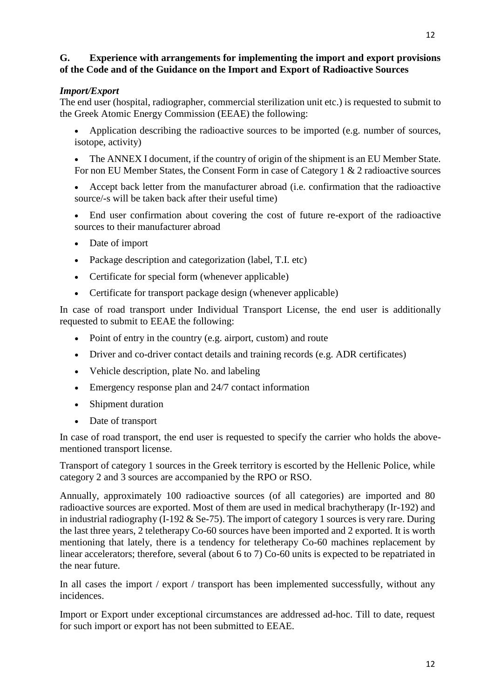## **G. Experience with arrangements for implementing the import and export provisions of the Code and of the Guidance on the Import and Export of Radioactive Sources**

# *Import/Export*

The end user (hospital, radiographer, commercial sterilization unit etc.) is requested to submit to the Greek Atomic Energy Commission (EEAE) the following:

- Application describing the radioactive sources to be imported (e.g. number of sources, isotope, activity)
- The ANNEX I document, if the country of origin of the shipment is an EU Member State. For non EU Member States, the Consent Form in case of Category 1 & 2 radioactive sources
- Accept back letter from the manufacturer abroad (i.e. confirmation that the radioactive source/-s will be taken back after their useful time)
- End user confirmation about covering the cost of future re-export of the radioactive sources to their manufacturer abroad
- Date of import
- Package description and categorization (label, T.I. etc)
- Certificate for special form (whenever applicable)
- Certificate for transport package design (whenever applicable)

In case of road transport under Individual Transport License, the end user is additionally requested to submit to EEAE the following:

- Point of entry in the country (e.g. airport, custom) and route
- Driver and co-driver contact details and training records (e.g. ADR certificates)
- Vehicle description, plate No. and labeling
- Emergency response plan and 24/7 contact information
- Shipment duration
- Date of transport

In case of road transport, the end user is requested to specify the carrier who holds the abovementioned transport license.

Transport of category 1 sources in the Greek territory is escorted by the Hellenic Police, while category 2 and 3 sources are accompanied by the RPO or RSO.

Annually, approximately 100 radioactive sources (of all categories) are imported and 80 radioactive sources are exported. Most of them are used in medical brachytherapy (Ir-192) and in industrial radiography (I-192 & Se-75). The import of category 1 sources is very rare. During the last three years, 2 teletherapy Co-60 sources have been imported and 2 exported. It is worth mentioning that lately, there is a tendency for teletherapy Co-60 machines replacement by linear accelerators; therefore, several (about 6 to 7) Co-60 units is expected to be repatriated in the near future.

In all cases the import / export / transport has been implemented successfully, without any incidences.

Import or Export under exceptional circumstances are addressed ad-hoc. Till to date, request for such import or export has not been submitted to EEAE.